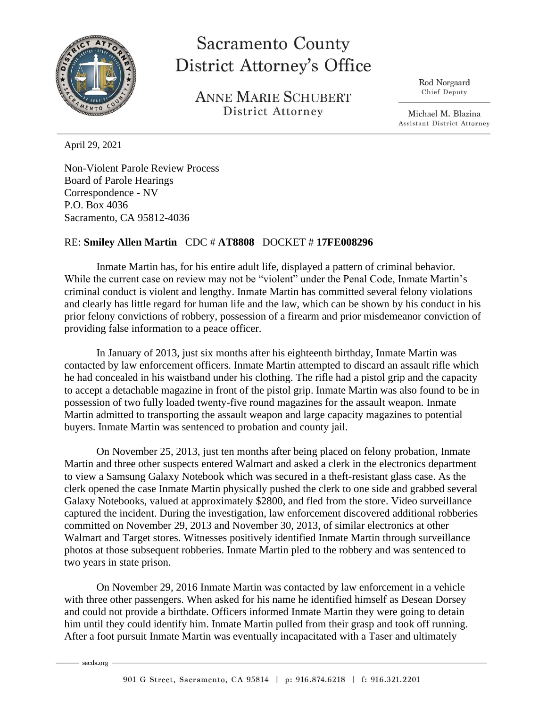

## **Sacramento County District Attorney's Office**

**ANNE MARIE SCHUBERT** District Attorney

Rod Norgaard Chief Deputy

Michael M. Blazina **Assistant District Attorney** 

April 29, 2021

Non-Violent Parole Review Process Board of Parole Hearings Correspondence - NV P.O. Box 4036 Sacramento, CA 95812-4036

## RE: **Smiley Allen Martin** CDC # **AT8808** DOCKET # **17FE008296**

Inmate Martin has, for his entire adult life, displayed a pattern of criminal behavior. While the current case on review may not be "violent" under the Penal Code, Inmate Martin's criminal conduct is violent and lengthy. Inmate Martin has committed several felony violations and clearly has little regard for human life and the law, which can be shown by his conduct in his prior felony convictions of robbery, possession of a firearm and prior misdemeanor conviction of providing false information to a peace officer.

In January of 2013, just six months after his eighteenth birthday, Inmate Martin was contacted by law enforcement officers. Inmate Martin attempted to discard an assault rifle which he had concealed in his waistband under his clothing. The rifle had a pistol grip and the capacity to accept a detachable magazine in front of the pistol grip. Inmate Martin was also found to be in possession of two fully loaded twenty-five round magazines for the assault weapon. Inmate Martin admitted to transporting the assault weapon and large capacity magazines to potential buyers. Inmate Martin was sentenced to probation and county jail.

On November 25, 2013, just ten months after being placed on felony probation, Inmate Martin and three other suspects entered Walmart and asked a clerk in the electronics department to view a Samsung Galaxy Notebook which was secured in a theft-resistant glass case. As the clerk opened the case Inmate Martin physically pushed the clerk to one side and grabbed several Galaxy Notebooks, valued at approximately \$2800, and fled from the store. Video surveillance captured the incident. During the investigation, law enforcement discovered additional robberies committed on November 29, 2013 and November 30, 2013, of similar electronics at other Walmart and Target stores. Witnesses positively identified Inmate Martin through surveillance photos at those subsequent robberies. Inmate Martin pled to the robbery and was sentenced to two years in state prison.

On November 29, 2016 Inmate Martin was contacted by law enforcement in a vehicle with three other passengers. When asked for his name he identified himself as Desean Dorsey and could not provide a birthdate. Officers informed Inmate Martin they were going to detain him until they could identify him. Inmate Martin pulled from their grasp and took off running. After a foot pursuit Inmate Martin was eventually incapacitated with a Taser and ultimately

sacda.org